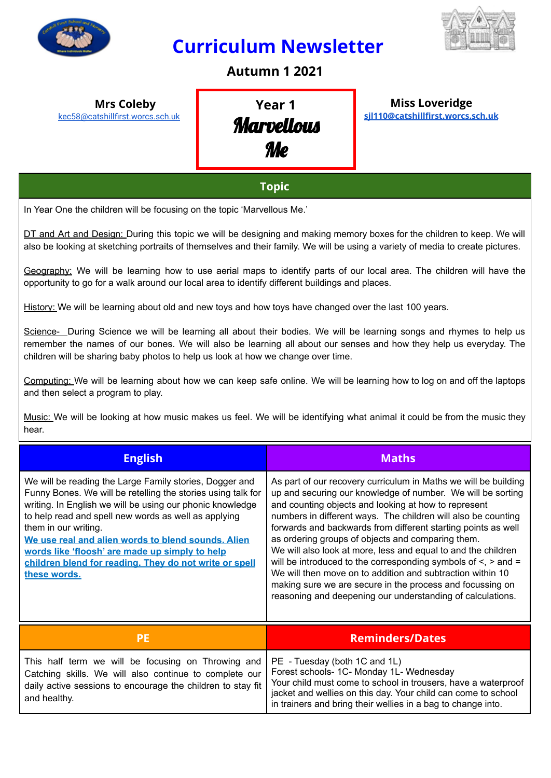

## **Curriculum Newsletter**



### **Autumn 1 2021**

**Mrs Coleby** [kec58@catshillfirst.worcs.sch.uk](mailto:kec58@catshillfirst.worcs.sch.uk)

# **Year 1 Marvellous** Me

**Miss Loveridge [sjl110@catshillfirst.worcs.sch.uk](mailto:sjl110@catshillfirst.worcs.sch.uk)**

#### **Topic**

In Year One the children will be focusing on the topic 'Marvellous Me.'

DT and Art and Design: During this topic we will be designing and making memory boxes for the children to keep. We will also be looking at sketching portraits of themselves and their family. We will be using a variety of media to create pictures.

Geography: We will be learning how to use aerial maps to identify parts of our local area. The children will have the opportunity to go for a walk around our local area to identify different buildings and places.

History: We will be learning about old and new toys and how toys have changed over the last 100 years.

Science- During Science we will be learning all about their bodies. We will be learning songs and rhymes to help us remember the names of our bones. We will also be learning all about our senses and how they help us everyday. The children will be sharing baby photos to help us look at how we change over time.

Computing: We will be learning about how we can keep safe online. We will be learning how to log on and off the laptops and then select a program to play.

Music: We will be looking at how music makes us feel. We will be identifying what animal it could be from the music they hear.

| <b>English</b>                                                                                                                                                                                                                                                                                                                                                                                                                                         | <b>Maths</b>                                                                                                                                                                                                                                                                                                                                                                                                                                                                                                                                                                                                                                                                                                      |
|--------------------------------------------------------------------------------------------------------------------------------------------------------------------------------------------------------------------------------------------------------------------------------------------------------------------------------------------------------------------------------------------------------------------------------------------------------|-------------------------------------------------------------------------------------------------------------------------------------------------------------------------------------------------------------------------------------------------------------------------------------------------------------------------------------------------------------------------------------------------------------------------------------------------------------------------------------------------------------------------------------------------------------------------------------------------------------------------------------------------------------------------------------------------------------------|
| We will be reading the Large Family stories, Dogger and<br>Funny Bones. We will be retelling the stories using talk for<br>writing. In English we will be using our phonic knowledge<br>to help read and spell new words as well as applying<br>them in our writing.<br>We use real and alien words to blend sounds. Alien<br>words like 'floosh' are made up simply to help<br>children blend for reading. They do not write or spell<br>these words. | As part of our recovery curriculum in Maths we will be building<br>up and securing our knowledge of number. We will be sorting<br>and counting objects and looking at how to represent<br>numbers in different ways. The children will also be counting<br>forwards and backwards from different starting points as well<br>as ordering groups of objects and comparing them.<br>We will also look at more, less and equal to and the children<br>will be introduced to the corresponding symbols of $\le$ , $>$ and $=$<br>We will then move on to addition and subtraction within 10<br>making sure we are secure in the process and focussing on<br>reasoning and deepening our understanding of calculations. |
|                                                                                                                                                                                                                                                                                                                                                                                                                                                        | <b>Reminders/Dates</b>                                                                                                                                                                                                                                                                                                                                                                                                                                                                                                                                                                                                                                                                                            |

| This half term we will be focusing on Throwing and   PE - Tuesday (both 1C and 1L)<br>Catching skills. We will also continue to complete our<br>and healthy. | Forest schools- 1C- Monday 1L- Wednesday<br>daily active sessions to encourage the children to stay fit   Your child must come to school in trousers, have a waterproof<br>jacket and wellies on this day. Your child can come to school<br>in trainers and bring their wellies in a bag to change into. |
|--------------------------------------------------------------------------------------------------------------------------------------------------------------|----------------------------------------------------------------------------------------------------------------------------------------------------------------------------------------------------------------------------------------------------------------------------------------------------------|